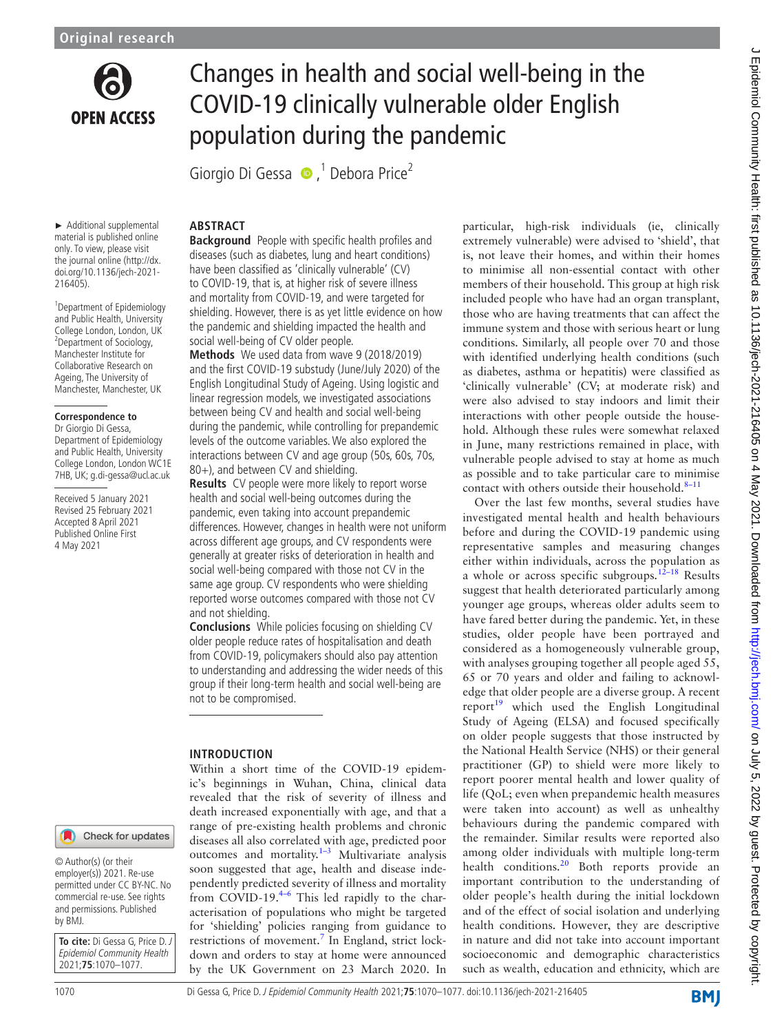

# Changes in health and social well-being in the COVID-19 clinically vulnerable older English population during the pandemic

Giorgio Di Gessa  $\bullet$ ,<sup>1</sup> Debora Price<sup>2</sup>

► Additional supplemental material is published online only. To view, please visit the journal online [\(http://dx.](http://dx.doi.org/10.1136/jech-2021-216405) [doi.org/10.1136/jech-2021-](http://dx.doi.org/10.1136/jech-2021-216405) [216405](http://dx.doi.org/10.1136/jech-2021-216405)).

1 Department of Epidemiology and Public Health, University College London, London, UK 2 Department of Sociology, Manchester Institute for Collaborative Research on Ageing, The University of Manchester, Manchester, UK

#### **Correspondence to**

Dr Giorgio Di Gessa, Department of Epidemiology and Public Health, University College London, London WC1E 7HB, UK; g.di-gessa@ucl.ac.uk

Received 5 January 2021 Revised 25 February 2021 Accepted 8 April 2021 Published Online First 4 May 2021

# **ABSTRACT**

**Background** People with specific health profiles and diseases (such as diabetes, lung and heart conditions) have been classified as 'clinically vulnerable' (CV) to COVID-19, that is, at higher risk of severe illness and mortality from COVID-19, and were targeted for shielding. However, there is as yet little evidence on how the pandemic and shielding impacted the health and social well-being of CV older people.

**Methods** We used data from wave 9 (2018/2019) and the first COVID-19 substudy (June/July 2020) of the English Longitudinal Study of Ageing. Using logistic and linear regression models, we investigated associations between being CV and health and social well-being during the pandemic, while controlling for prepandemic levels of the outcome variables. We also explored the interactions between CV and age group (50s, 60s, 70s, 80+), and between CV and shielding.

**Results** CV people were more likely to report worse health and social well-being outcomes during the pandemic, even taking into account prepandemic differences. However, changes in health were not uniform across different age groups, and CV respondents were generally at greater risks of deterioration in health and social well-being compared with those not CV in the same age group. CV respondents who were shielding reported worse outcomes compared with those not CV and not shielding.

**Conclusions** While policies focusing on shielding CV older people reduce rates of hospitalisation and death from COVID-19, policymakers should also pay attention to understanding and addressing the wider needs of this group if their long-term health and social well-being are not to be compromised.

# **INTRODUCTION**

Within a short time of the COVID-19 epidemic's beginnings in Wuhan, China, clinical data revealed that the risk of severity of illness and death increased exponentially with age, and that a range of pre-existing health problems and chronic diseases all also correlated with age, predicted poor outcomes and mortality. $1-3$  Multivariate analysis soon suggested that age, health and disease independently predicted severity of illness and mortality from COVID-19.[4–6](#page-7-1) This led rapidly to the characterisation of populations who might be targeted for 'shielding' policies ranging from guidance to restrictions of movement.<sup>[7](#page-7-2)</sup> In England, strict lockdown and orders to stay at home were announced by the UK Government on 23 March 2020. In

particular, high-risk individuals (ie, clinically extremely vulnerable) were advised to 'shield', that is, not leave their homes, and within their homes to minimise all non-essential contact with other members of their household. This group at high risk included people who have had an organ transplant, those who are having treatments that can affect the immune system and those with serious heart or lung conditions. Similarly, all people over 70 and those with identified underlying health conditions (such as diabetes, asthma or hepatitis) were classified as 'clinically vulnerable' (CV; at moderate risk) and were also advised to stay indoors and limit their interactions with other people outside the household. Although these rules were somewhat relaxed in June, many restrictions remained in place, with vulnerable people advised to stay at home as much as possible and to take particular care to minimise contact with others outside their household. $8-11$ 

Over the last few months, several studies have investigated mental health and health behaviours before and during the COVID-19 pandemic using representative samples and measuring changes either within individuals, across the population as a whole or across specific subgroups.<sup>[12–18](#page-7-4)</sup> Results suggest that health deteriorated particularly among younger age groups, whereas older adults seem to have fared better during the pandemic. Yet, in these studies, older people have been portrayed and considered as a homogeneously vulnerable group, with analyses grouping together all people aged 55, 65 or 70 years and older and failing to acknowledge that older people are a diverse group. A recent report $19$  which used the English Longitudinal Study of Ageing (ELSA) and focused specifically on older people suggests that those instructed by the National Health Service (NHS) or their general practitioner (GP) to shield were more likely to report poorer mental health and lower quality of life (QoL; even when prepandemic health measures were taken into account) as well as unhealthy behaviours during the pandemic compared with the remainder. Similar results were reported also among older individuals with multiple long-term health conditions.<sup>[20](#page-7-6)</sup> Both reports provide an important contribution to the understanding of older people's health during the initial lockdown and of the effect of social isolation and underlying health conditions. However, they are descriptive in nature and did not take into account important socioeconomic and demographic characteristics such as wealth, education and ethnicity, which are

© Author(s) (or their employer(s)) 2021. Re-use permitted under CC BY-NC. No commercial re-use. See rights and permissions. Published by BMJ.

**To cite:** Di Gessa G, Price D. J Epidemiol Community Health 2021;**75**:1070–1077.

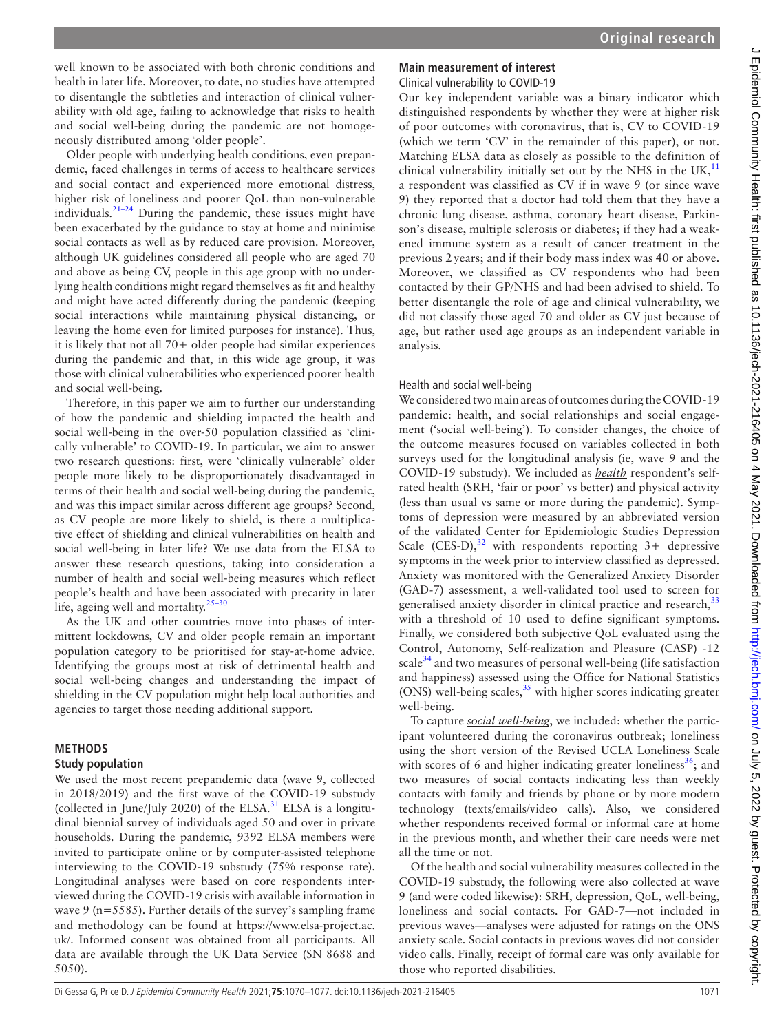well known to be associated with both chronic conditions and health in later life. Moreover, to date, no studies have attempted to disentangle the subtleties and interaction of clinical vulnerability with old age, failing to acknowledge that risks to health and social well-being during the pandemic are not homogeneously distributed among 'older people'.

Older people with underlying health conditions, even prepandemic, faced challenges in terms of access to healthcare services and social contact and experienced more emotional distress, higher risk of loneliness and poorer QoL than non-vulnerable individuals[.21–24](#page-7-7) During the pandemic, these issues might have been exacerbated by the guidance to stay at home and minimise social contacts as well as by reduced care provision. Moreover, although UK guidelines considered all people who are aged 70 and above as being CV, people in this age group with no underlying health conditions might regard themselves as fit and healthy and might have acted differently during the pandemic (keeping social interactions while maintaining physical distancing, or leaving the home even for limited purposes for instance). Thus, it is likely that not all 70+ older people had similar experiences during the pandemic and that, in this wide age group, it was those with clinical vulnerabilities who experienced poorer health and social well-being.

Therefore, in this paper we aim to further our understanding of how the pandemic and shielding impacted the health and social well-being in the over-50 population classified as 'clinically vulnerable' to COVID-19. In particular, we aim to answer two research questions: first, were 'clinically vulnerable' older people more likely to be disproportionately disadvantaged in terms of their health and social well-being during the pandemic, and was this impact similar across different age groups? Second, as CV people are more likely to shield, is there a multiplicative effect of shielding and clinical vulnerabilities on health and social well-being in later life? We use data from the ELSA to answer these research questions, taking into consideration a number of health and social well-being measures which reflect people's health and have been associated with precarity in later life, ageing well and mortality.<sup>25-30</sup>

As the UK and other countries move into phases of intermittent lockdowns, CV and older people remain an important population category to be prioritised for stay-at-home advice. Identifying the groups most at risk of detrimental health and social well-being changes and understanding the impact of shielding in the CV population might help local authorities and agencies to target those needing additional support.

#### **METHODS**

#### **Study population**

We used the most recent prepandemic data (wave 9, collected in 2018/2019) and the first wave of the COVID-19 substudy (collected in June/July 2020) of the ELSA. $31$  ELSA is a longitudinal biennial survey of individuals aged 50 and over in private households. During the pandemic, 9392 ELSA members were invited to participate online or by computer-assisted telephone interviewing to the COVID-19 substudy (75% response rate). Longitudinal analyses were based on core respondents interviewed during the COVID-19 crisis with available information in wave 9 (n=5585). Further details of the survey's sampling frame and methodology can be found at [https://www.elsa-project.ac.](https://www.elsa-project.ac.uk/) [uk/](https://www.elsa-project.ac.uk/). Informed consent was obtained from all participants. All data are available through the UK Data Service (SN 8688 and 5050).

# **Main measurement of interest**

Clinical vulnerability to COVID-19

Our key independent variable was a binary indicator which distinguished respondents by whether they were at higher risk of poor outcomes with coronavirus, that is, CV to COVID-19 (which we term 'CV' in the remainder of this paper), or not. Matching ELSA data as closely as possible to the definition of clinical vulnerability initially set out by the NHS in the UK, $^{11}$  $^{11}$  $^{11}$ a respondent was classified as CV if in wave 9 (or since wave 9) they reported that a doctor had told them that they have a chronic lung disease, asthma, coronary heart disease, Parkinson's disease, multiple sclerosis or diabetes; if they had a weakened immune system as a result of cancer treatment in the previous 2 years; and if their body mass index was 40 or above. Moreover, we classified as CV respondents who had been contacted by their GP/NHS and had been advised to shield. To better disentangle the role of age and clinical vulnerability, we did not classify those aged 70 and older as CV just because of age, but rather used age groups as an independent variable in analysis.

# Health and social well-being

We considered two main areas of outcomes during the COVID-19 pandemic: health, and social relationships and social engagement ('social well-being'). To consider changes, the choice of the outcome measures focused on variables collected in both surveys used for the longitudinal analysis (ie, wave 9 and the COVID-19 substudy). We included as *health* respondent's selfrated health (SRH, 'fair or poor' vs better) and physical activity (less than usual vs same or more during the pandemic). Symptoms of depression were measured by an abbreviated version of the validated Center for Epidemiologic Studies Depression Scale (CES-D),<sup>32</sup> with respondents reporting  $3+$  depressive symptoms in the week prior to interview classified as depressed. Anxiety was monitored with the Generalized Anxiety Disorder (GAD-7) assessment, a well-validated tool used to screen for generalised anxiety disorder in clinical practice and research, [33](#page-7-12) with a threshold of 10 used to define significant symptoms. Finally, we considered both subjective QoL evaluated using the Control, Autonomy, Self-realization and Pleasure (CASP) -12 scale<sup>34</sup> and two measures of personal well-being (life satisfaction and happiness) assessed using the Office for National Statistics (ONS) well-being scales, $35$  with higher scores indicating greater well-being.

To capture *social well-being*, we included: whether the participant volunteered during the coronavirus outbreak; loneliness using the short version of the Revised UCLA Loneliness Scale with scores of 6 and higher indicating greater loneliness<sup>36</sup>; and two measures of social contacts indicating less than weekly contacts with family and friends by phone or by more modern technology (texts/emails/video calls). Also, we considered whether respondents received formal or informal care at home in the previous month, and whether their care needs were met all the time or not.

Of the health and social vulnerability measures collected in the COVID-19 substudy, the following were also collected at wave 9 (and were coded likewise): SRH, depression, QoL, well-being, loneliness and social contacts. For GAD-7—not included in previous waves—analyses were adjusted for ratings on the ONS anxiety scale. Social contacts in previous waves did not consider video calls. Finally, receipt of formal care was only available for those who reported disabilities.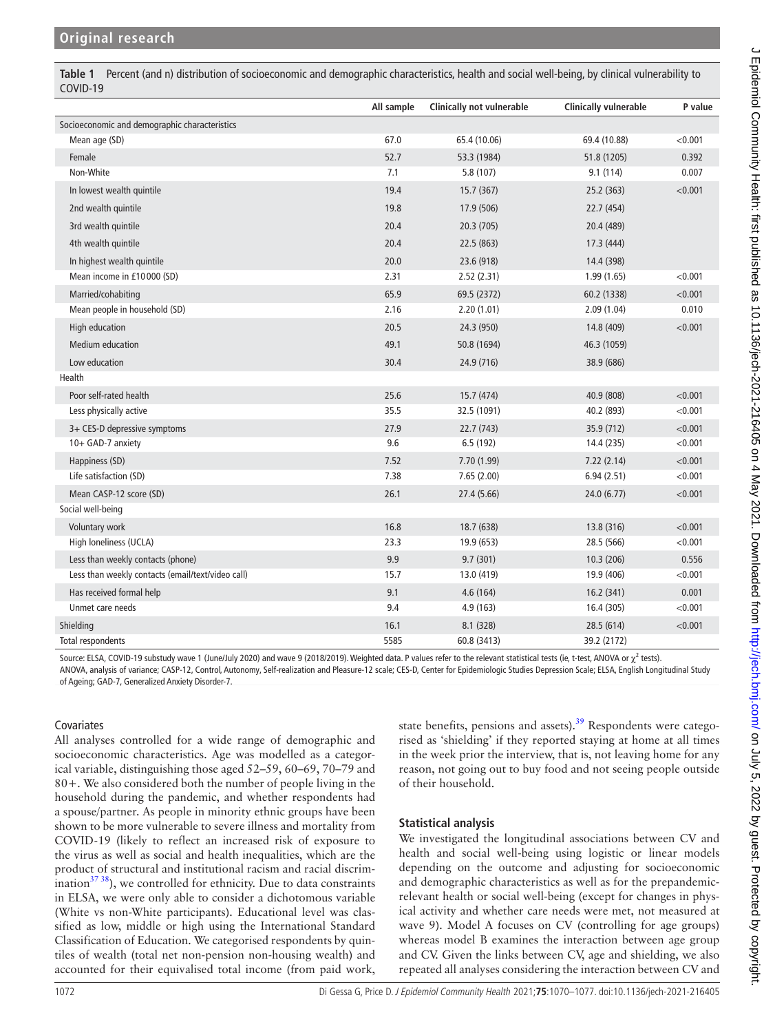<span id="page-2-0"></span>**Table 1** Percent (and n) distribution of socioeconomic and demographic characteristics, health and social well-being, by clinical vulnerability to COVID-19

|                                                   | All sample | Clinically not vulnerable | <b>Clinically vulnerable</b> | P value |
|---------------------------------------------------|------------|---------------------------|------------------------------|---------|
| Socioeconomic and demographic characteristics     |            |                           |                              |         |
| Mean age (SD)                                     | 67.0       | 65.4 (10.06)              | 69.4 (10.88)                 | < 0.001 |
| Female                                            | 52.7       | 53.3 (1984)               | 51.8 (1205)                  | 0.392   |
| Non-White                                         | 7.1        | 5.8 (107)                 | 9.1(114)                     | 0.007   |
| In lowest wealth quintile                         | 19.4       | 15.7 (367)                | 25.2 (363)                   | < 0.001 |
| 2nd wealth quintile                               | 19.8       | 17.9 (506)                | 22.7 (454)                   |         |
| 3rd wealth quintile                               | 20.4       | 20.3 (705)                | 20.4 (489)                   |         |
| 4th wealth quintile                               | 20.4       | 22.5 (863)                | 17.3 (444)                   |         |
| In highest wealth quintile                        | 20.0       | 23.6 (918)                | 14.4 (398)                   |         |
| Mean income in £10000 (SD)                        | 2.31       | 2.52(2.31)                | 1.99(1.65)                   | < 0.001 |
| Married/cohabiting                                | 65.9       | 69.5 (2372)               | 60.2 (1338)                  | < 0.001 |
| Mean people in household (SD)                     | 2.16       | 2.20(1.01)                | 2.09(1.04)                   | 0.010   |
| High education                                    | 20.5       | 24.3 (950)                | 14.8 (409)                   | < 0.001 |
| <b>Medium education</b>                           | 49.1       | 50.8 (1694)               | 46.3 (1059)                  |         |
| Low education                                     | 30.4       | 24.9 (716)                | 38.9 (686)                   |         |
| Health                                            |            |                           |                              |         |
| Poor self-rated health                            | 25.6       | 15.7 (474)                | 40.9 (808)                   | < 0.001 |
| Less physically active                            | 35.5       | 32.5 (1091)               | 40.2 (893)                   | < 0.001 |
| 3+ CES-D depressive symptoms                      | 27.9       | 22.7 (743)                | 35.9 (712)                   | < 0.001 |
| 10+ GAD-7 anxiety                                 | 9.6        | 6.5(192)                  | 14.4 (235)                   | < 0.001 |
| Happiness (SD)                                    | 7.52       | 7.70 (1.99)               | 7.22(2.14)                   | < 0.001 |
| Life satisfaction (SD)                            | 7.38       | 7.65 (2.00)               | 6.94(2.51)                   | < 0.001 |
| Mean CASP-12 score (SD)                           | 26.1       | 27.4 (5.66)               | 24.0 (6.77)                  | < 0.001 |
| Social well-being                                 |            |                           |                              |         |
| Voluntary work                                    | 16.8       | 18.7 (638)                | 13.8 (316)                   | < 0.001 |
| High loneliness (UCLA)                            | 23.3       | 19.9 (653)                | 28.5 (566)                   | < 0.001 |
| Less than weekly contacts (phone)                 | 9.9        | 9.7(301)                  | 10.3(206)                    | 0.556   |
| Less than weekly contacts (email/text/video call) | 15.7       | 13.0 (419)                | 19.9 (406)                   | < 0.001 |
| Has received formal help                          | 9.1        | 4.6(164)                  | 16.2(341)                    | 0.001   |
| Unmet care needs                                  | 9.4        | 4.9(163)                  | 16.4 (305)                   | < 0.001 |
| Shielding                                         | 16.1       | 8.1 (328)                 | 28.5 (614)                   | < 0.001 |
| Total respondents                                 | 5585       | 60.8 (3413)               | 39.2 (2172)                  |         |

Source: ELSA, COVID-19 substudy wave 1 (June/July 2020) and wave 9 (2018/2019). Weighted data. P values refer to the relevant statistical tests (ie, t-test, ANOVA or  $\chi^2$  tests).

ANOVA, analysis of variance; CASP-12, Control, Autonomy, Self-realization and Pleasure-12 scale; CES-D, Center for Epidemiologic Studies Depression Scale; ELSA, English Longitudinal Study of Ageing; GAD-7, Generalized Anxiety Disorder-7.

#### Covariates

All analyses controlled for a wide range of demographic and socioeconomic characteristics. Age was modelled as a categorical variable, distinguishing those aged 52–59, 60–69, 70–79 and 80+. We also considered both the number of people living in the household during the pandemic, and whether respondents had a spouse/partner. As people in minority ethnic groups have been shown to be more vulnerable to severe illness and mortality from COVID-19 (likely to reflect an increased risk of exposure to the virus as well as social and health inequalities, which are the product of structural and institutional racism and racial discrimination $^{37\,38}$ ), we controlled for ethnicity. Due to data constraints in ELSA, we were only able to consider a dichotomous variable (White vs non-White participants). Educational level was classified as low, middle or high using the International Standard Classification of Education. We categorised respondents by quintiles of wealth (total net non-pension non-housing wealth) and accounted for their equivalised total income (from paid work,

state benefits, pensions and assets).<sup>[39](#page-7-17)</sup> Respondents were categorised as 'shielding' if they reported staying at home at all times in the week prior the interview, that is, not leaving home for any reason, not going out to buy food and not seeing people outside of their household.

# **Statistical analysis**

We investigated the longitudinal associations between CV and health and social well-being using logistic or linear models depending on the outcome and adjusting for socioeconomic and demographic characteristics as well as for the prepandemicrelevant health or social well-being (except for changes in physical activity and whether care needs were met, not measured at wave 9). Model A focuses on CV (controlling for age groups) whereas model B examines the interaction between age group and CV. Given the links between CV, age and shielding, we also repeated all analyses considering the interaction between CV and J Epidemiol Community Health: first published as 10.1136/jech-2021-216405 on 4 May 2021. Downloaded from http://jech.bmj.com/ on July 5, 2022 by guest. Protected by copyright J Epidemiol Community Health: first published as 10.1136/jech-2021-216405 on 4 May 2021. Downloaded from <http://jech.bmj.com/> on July 5, 2022 by guest. Protected by copyright.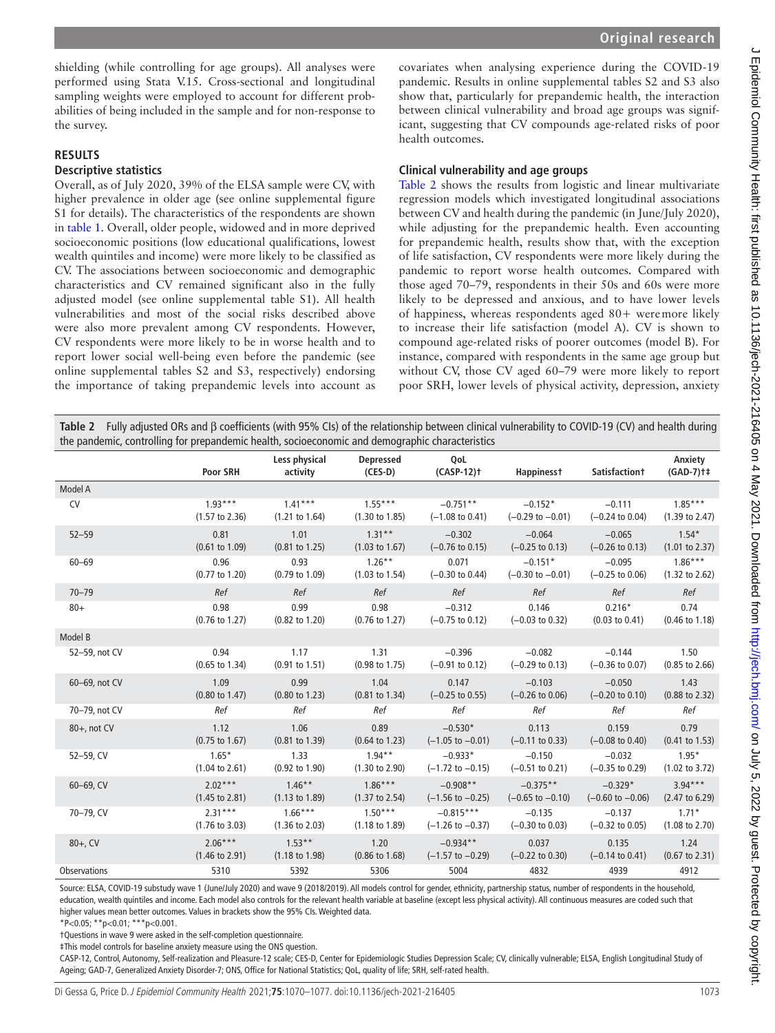shielding (while controlling for age groups). All analyses were performed using Stata V.15. Cross-sectional and longitudinal sampling weights were employed to account for different probabilities of being included in the sample and for non-response to the survey.

#### **RESULTS**

#### **Descriptive statistics**

Overall, as of July 2020, 39% of the ELSA sample were CV, with higher prevalence in older age (see [online supplemental figure](https://dx.doi.org/10.1136/jech-2021-216405)  [S1](https://dx.doi.org/10.1136/jech-2021-216405) for details). The characteristics of the respondents are shown in [table](#page-2-0) 1. Overall, older people, widowed and in more deprived socioeconomic positions (low educational qualifications, lowest wealth quintiles and income) were more likely to be classified as CV. The associations between socioeconomic and demographic characteristics and CV remained significant also in the fully adjusted model (see [online supplemental table S1](https://dx.doi.org/10.1136/jech-2021-216405)). All health vulnerabilities and most of the social risks described above were also more prevalent among CV respondents. However, CV respondents were more likely to be in worse health and to report lower social well-being even before the pandemic (see [online supplemental tables S2 and S3](https://dx.doi.org/10.1136/jech-2021-216405), respectively) endorsing the importance of taking prepandemic levels into account as

covariates when analysing experience during the COVID-19 pandemic. Results in [online supplemental tables S2 and S3](https://dx.doi.org/10.1136/jech-2021-216405) also show that, particularly for prepandemic health, the interaction between clinical vulnerability and broad age groups was significant, suggesting that CV compounds age-related risks of poor health outcomes.

#### **Clinical vulnerability and age groups**

[Table](#page-3-0) 2 shows the results from logistic and linear multivariate regression models which investigated longitudinal associations between CV and health during the pandemic (in June/July 2020), while adjusting for the prepandemic health. Even accounting for prepandemic health, results show that, with the exception of life satisfaction, CV respondents were more likely during the pandemic to report worse health outcomes. Compared with those aged 70–79, respondents in their 50s and 60s were more likely to be depressed and anxious, and to have lower levels of happiness, whereas respondents aged 80+ weremore likely to increase their life satisfaction (model A). CV is shown to compound age-related risks of poorer outcomes (model B). For instance, compared with respondents in the same age group but without CV, those CV aged 60–79 were more likely to report poor SRH, lower levels of physical activity, depression, anxiety

<span id="page-3-0"></span>**Table 2** Fully adjusted ORs and β coefficients (with 95% CIs) of the relationship between clinical vulnerability to COVID-19 (CV) and health during the pandemic, controlling for prepandemic health, socioeconomic and demographic characteristics

|                     | Poor SRH                  | Less physical<br>activity | <b>Depressed</b><br>$(CES-D)$ | QoL<br>$(CASP-12)$ <sup>+</sup> | <b>Happinesst</b>           | <b>Satisfactiont</b>        | Anxiety<br>$(GAD-7)$ <sup>+</sup> |
|---------------------|---------------------------|---------------------------|-------------------------------|---------------------------------|-----------------------------|-----------------------------|-----------------------------------|
| Model A             |                           |                           |                               |                                 |                             |                             |                                   |
| <b>CV</b>           | $1.93***$                 | $1.41***$                 | $1.55***$                     | $-0.751**$                      | $-0.152*$                   | $-0.111$                    | $1.85***$                         |
|                     | $(1.57 \text{ to } 2.36)$ | $(1.21 \text{ to } 1.64)$ | $(1.30 \text{ to } 1.85)$     | $(-1.08 \text{ to } 0.41)$      | $(-0.29 \text{ to } -0.01)$ | $(-0.24 \text{ to } 0.04)$  | $(1.39 \text{ to } 2.47)$         |
| $52 - 59$           | 0.81                      | 1.01                      | $1.31**$                      | $-0.302$                        | $-0.064$                    | $-0.065$                    | $1.54*$                           |
|                     | $(0.61 \text{ to } 1.09)$ | $(0.81 \text{ to } 1.25)$ | $(1.03 \text{ to } 1.67)$     | $(-0.76 \text{ to } 0.15)$      | $(-0.25 \text{ to } 0.13)$  | $(-0.26 \text{ to } 0.13)$  | $(1.01 \text{ to } 2.37)$         |
| $60 - 69$           | 0.96                      | 0.93                      | $1.26***$                     | 0.071                           | $-0.151*$                   | $-0.095$                    | $1.86***$                         |
|                     | $(0.77 \text{ to } 1.20)$ | $(0.79 \text{ to } 1.09)$ | $(1.03 \text{ to } 1.54)$     | $(-0.30 \text{ to } 0.44)$      | $(-0.30 \text{ to } -0.01)$ | $(-0.25 \text{ to } 0.06)$  | $(1.32 \text{ to } 2.62)$         |
| $70 - 79$           | Ref                       | Ref                       | Ref                           | Ref                             | Ref                         | Ref                         | Ref                               |
| $80 +$              | 0.98                      | 0.99                      | 0.98                          | $-0.312$                        | 0.146                       | $0.216*$                    | 0.74                              |
|                     | $(0.76 \text{ to } 1.27)$ | (0.82 to 1.20)            | $(0.76 \text{ to } 1.27)$     | $(-0.75 \text{ to } 0.12)$      | $(-0.03 \text{ to } 0.32)$  | $(0.03 \text{ to } 0.41)$   | $(0.46 \text{ to } 1.18)$         |
| Model B             |                           |                           |                               |                                 |                             |                             |                                   |
| 52-59, not CV       | 0.94                      | 1.17                      | 1.31                          | $-0.396$                        | $-0.082$                    | $-0.144$                    | 1.50                              |
|                     | $(0.65 \text{ to } 1.34)$ | $(0.91 \text{ to } 1.51)$ | $(0.98 \text{ to } 1.75)$     | $(-0.91 \text{ to } 0.12)$      | $(-0.29 \text{ to } 0.13)$  | $(-0.36 \text{ to } 0.07)$  | $(0.85 \text{ to } 2.66)$         |
| 60-69, not CV       | 1.09                      | 0.99                      | 1.04                          | 0.147                           | $-0.103$                    | $-0.050$                    | 1.43                              |
|                     | $(0.80 \text{ to } 1.47)$ | $(0.80 \text{ to } 1.23)$ | $(0.81 \text{ to } 1.34)$     | $(-0.25 \text{ to } 0.55)$      | $(-0.26 \text{ to } 0.06)$  | $(-0.20 \text{ to } 0.10)$  | $(0.88 \text{ to } 2.32)$         |
| 70-79, not CV       | Ref                       | Ref                       | Ref                           | Ref                             | Ref                         | Ref                         | Ref                               |
| 80+, not CV         | 1.12                      | 1.06                      | 0.89                          | $-0.530*$                       | 0.113                       | 0.159                       | 0.79                              |
|                     | $(0.75 \text{ to } 1.67)$ | $(0.81 \text{ to } 1.39)$ | $(0.64 \text{ to } 1.23)$     | $(-1.05 \text{ to } -0.01)$     | $(-0.11$ to $0.33)$         | $(-0.08 \text{ to } 0.40)$  | $(0.41 \text{ to } 1.53)$         |
| 52-59, CV           | $1.65*$                   | 1.33                      | $1.94***$                     | $-0.933*$                       | $-0.150$                    | $-0.032$                    | $1.95*$                           |
|                     | $(1.04 \text{ to } 2.61)$ | $(0.92 \text{ to } 1.90)$ | $(1.30 \text{ to } 2.90)$     | $(-1.72 \text{ to } -0.15)$     | $(-0.51$ to 0.21)           | $(-0.35$ to 0.29)           | $(1.02 \text{ to } 3.72)$         |
| $60 - 69$ . CV      | $2.02***$                 | $1.46***$                 | $1.86***$                     | $-0.908**$                      | $-0.375**$                  | $-0.329*$                   | $3.94***$                         |
|                     | $(1.45 \text{ to } 2.81)$ | $(1.13 \text{ to } 1.89)$ | $(1.37 \text{ to } 2.54)$     | $(-1.56 \text{ to } -0.25)$     | $(-0.65 \text{ to } -0.10)$ | $(-0.60 \text{ to } -0.06)$ | $(2.47 \text{ to } 6.29)$         |
| 70-79. CV           | $2.31***$                 | $1.66***$                 | $1.50***$                     | $-0.815***$                     | $-0.135$                    | $-0.137$                    | $1.71*$                           |
|                     | $(1.76 \text{ to } 3.03)$ | $(1.36 \text{ to } 2.03)$ | $(1.18 \text{ to } 1.89)$     | $(-1.26 \text{ to } -0.37)$     | $(-0.30 \text{ to } 0.03)$  | $(-0.32 \text{ to } 0.05)$  | $(1.08 \text{ to } 2.70)$         |
| $80+$ , CV          | $2.06***$                 | $1.53***$                 | 1.20                          | $-0.934**$                      | 0.037                       | 0.135                       | 1.24                              |
|                     | $(1.46 \text{ to } 2.91)$ | $(1.18 \text{ to } 1.98)$ | $(0.86 \text{ to } 1.68)$     | $(-1.57 \text{ to } -0.29)$     | $(-0.22 \text{ to } 0.30)$  | $(-0.14 \text{ to } 0.41)$  | $(0.67 \text{ to } 2.31)$         |
| <b>Observations</b> | 5310                      | 5392                      | 5306                          | 5004                            | 4832                        | 4939                        | 4912                              |

Source: ELSA, COVID-19 substudy wave 1 (June/July 2020) and wave 9 (2018/2019). All models control for gender, ethnicity, partnership status, number of respondents in the household, education, wealth quintiles and income. Each model also controls for the relevant health variable at baseline (except less physical activity). All continuous measures are coded such that higher values mean better outcomes. Values in brackets show the 95% CIs. Weighted data.

†Questions in wave 9 were asked in the self-completion questionnaire.

‡This model controls for baseline anxiety measure using the ONS question.

CASP-12, Control, Autonomy, Self-realization and Pleasure-12 scale; CES-D, Center for Epidemiologic Studies Depression Scale; CV, clinically vulnerable; ELSA, English Longitudinal Study of Ageing; GAD-7, Generalized Anxiety Disorder-7; ONS, Office for National Statistics; QoL, quality of life; SRH, self-rated health.

 $*P<0.05$ ;  $*P<0.01$ ;  $**P<0.001$ .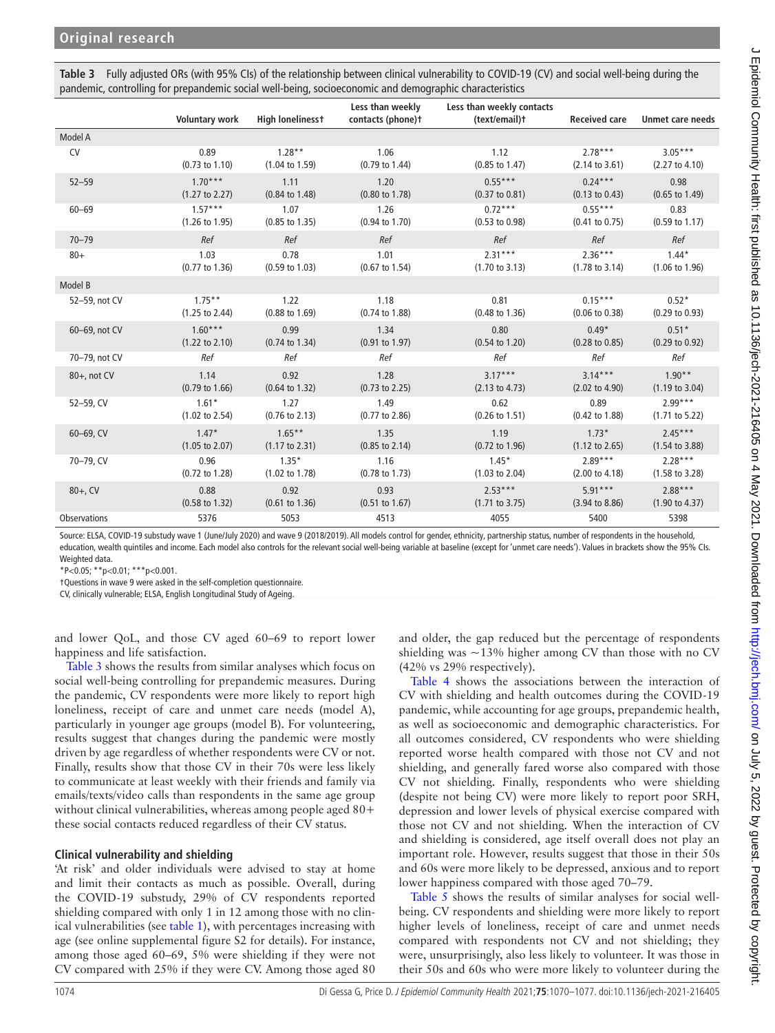<span id="page-4-0"></span>

| Table 3 Fully adjusted ORs (with 95% CIs) of the relationship between clinical vulnerability to COVID-19 (CV) and social well-being during the |
|------------------------------------------------------------------------------------------------------------------------------------------------|
| pandemic, controlling for prepandemic social well-being, socioeconomic and demographic characteristics                                         |

|                     | <b>Voluntary work</b>     | <b>High lonelinesst</b>   | Less than weekly<br>contacts (phone)t | Less than weekly contacts<br>(text/email)t | <b>Received care</b>      | <b>Unmet care needs</b>   |
|---------------------|---------------------------|---------------------------|---------------------------------------|--------------------------------------------|---------------------------|---------------------------|
| Model A             |                           |                           |                                       |                                            |                           |                           |
| <b>CV</b>           | 0.89                      | $1.28**$                  | 1.06                                  | 1.12                                       | $2.78***$                 | $3.05***$                 |
|                     | $(0.73 \text{ to } 1.10)$ | $(1.04 \text{ to } 1.59)$ | $(0.79 \text{ to } 1.44)$             | $(0.85 \text{ to } 1.47)$                  | $(2.14 \text{ to } 3.61)$ | (2.27 to 4.10)            |
| $52 - 59$           | $1.70***$                 | 1.11                      | 1.20                                  | $0.55***$                                  | $0.24***$                 | 0.98                      |
|                     | $(1.27 \text{ to } 2.27)$ | $(0.84 \text{ to } 1.48)$ | $(0.80 \text{ to } 1.78)$             | $(0.37 \text{ to } 0.81)$                  | $(0.13 \text{ to } 0.43)$ | $(0.65 \text{ to } 1.49)$ |
| $60 - 69$           | $1.57***$                 | 1.07                      | 1.26                                  | $0.72***$                                  | $0.55***$                 | 0.83                      |
|                     | $(1.26 \text{ to } 1.95)$ | $(0.85 \text{ to } 1.35)$ | $(0.94 \text{ to } 1.70)$             | $(0.53 \text{ to } 0.98)$                  | $(0.41 \text{ to } 0.75)$ | $(0.59 \text{ to } 1.17)$ |
| $70 - 79$           | Ref                       | Ref                       | Ref                                   | Ref                                        | Ref                       | Ref                       |
| $80+$               | 1.03                      | 0.78                      | 1.01                                  | $2.31***$                                  | $2.36***$                 | $1.44*$                   |
|                     | $(0.77 \text{ to } 1.36)$ | $(0.59 \text{ to } 1.03)$ | $(0.67 \text{ to } 1.54)$             | $(1.70 \text{ to } 3.13)$                  | $(1.78 \text{ to } 3.14)$ | $(1.06 \text{ to } 1.96)$ |
| Model B             |                           |                           |                                       |                                            |                           |                           |
| 52-59, not CV       | $1.75***$                 | 1.22                      | 1.18                                  | 0.81                                       | $0.15***$                 | $0.52*$                   |
|                     | $(1.25 \text{ to } 2.44)$ | $(0.88 \text{ to } 1.69)$ | $(0.74 \text{ to } 1.88)$             | $(0.48 \text{ to } 1.36)$                  | $(0.06 \text{ to } 0.38)$ | (0.29 to 0.93)            |
| 60-69, not CV       | $1.60***$                 | 0.99                      | 1.34                                  | 0.80                                       | $0.49*$                   | $0.51*$                   |
|                     | $(1.22 \text{ to } 2.10)$ | $(0.74 \text{ to } 1.34)$ | $(0.91$ to $1.97)$                    | $(0.54 \text{ to } 1.20)$                  | $(0.28 \text{ to } 0.85)$ | $(0.29 \text{ to } 0.92)$ |
| 70-79, not CV       | Ref                       | Ref                       | Ref                                   | Ref                                        | Ref                       | Ref                       |
| $80+$ , not CV      | 1.14                      | 0.92                      | 1.28                                  | $3.17***$                                  | $3.14***$                 | $1.90**$                  |
|                     | $(0.79 \text{ to } 1.66)$ | $(0.64 \text{ to } 1.32)$ | $(0.73 \text{ to } 2.25)$             | $(2.13 \text{ to } 4.73)$                  | $(2.02 \text{ to } 4.90)$ | $(1.19 \text{ to } 3.04)$ |
| 52-59, CV           | $1.61*$                   | 1.27                      | 1.49                                  | 0.62                                       | 0.89                      | $2.99***$                 |
|                     | $(1.02 \text{ to } 2.54)$ | $(0.76 \text{ to } 2.13)$ | $(0.77$ to 2.86)                      | $(0.26 \text{ to } 1.51)$                  | $(0.42 \text{ to } 1.88)$ | $(1.71$ to 5.22)          |
| $60 - 69$ . CV      | $1.47*$                   | $1.65**$                  | 1.35                                  | 1.19                                       | $1.73*$                   | $2.45***$                 |
|                     | $(1.05 \text{ to } 2.07)$ | $(1.17 \text{ to } 2.31)$ | $(0.85 \text{ to } 2.14)$             | $(0.72 \text{ to } 1.96)$                  | $(1.12 \text{ to } 2.65)$ | $(1.54 \text{ to } 3.88)$ |
| 70-79, CV           | 0.96                      | $1.35*$                   | 1.16                                  | $1.45*$                                    | $2.89***$                 | $2.28***$                 |
|                     | $(0.72 \text{ to } 1.28)$ | $(1.02 \text{ to } 1.78)$ | $(0.78 \text{ to } 1.73)$             | $(1.03 \text{ to } 2.04)$                  | (2.00 to 4.18)            | $(1.58 \text{ to } 3.28)$ |
| $80+$ , CV          | 0.88                      | 0.92                      | 0.93                                  | $2.53***$                                  | $5.91***$                 | $2.88***$                 |
|                     | $(0.58 \text{ to } 1.32)$ | $(0.61 \text{ to } 1.36)$ | $(0.51$ to $1.67)$                    | $(1.71 \text{ to } 3.75)$                  | $(3.94 \text{ to } 8.86)$ | $(1.90 \text{ to } 4.37)$ |
| <b>Observations</b> | 5376                      | 5053                      | 4513                                  | 4055                                       | 5400                      | 5398                      |

Source: ELSA, COVID-19 substudy wave 1 (June/July 2020) and wave 9 (2018/2019). All models control for gender, ethnicity, partnership status, number of respondents in the household, education, wealth quintiles and income. Each model also controls for the relevant social well-being variable at baseline (except for 'unmet care needs'). Values in brackets show the 95% CIs. Weighted data.

\*P<0.05; \*\*p<0.01; \*\*\*p<0.001.

†Questions in wave 9 were asked in the self-completion questionnaire.

CV, clinically vulnerable; ELSA, English Longitudinal Study of Ageing.

and lower QoL, and those CV aged 60–69 to report lower happiness and life satisfaction.

[Table](#page-4-0) 3 shows the results from similar analyses which focus on social well-being controlling for prepandemic measures. During the pandemic, CV respondents were more likely to report high loneliness, receipt of care and unmet care needs (model A), particularly in younger age groups (model B). For volunteering, results suggest that changes during the pandemic were mostly driven by age regardless of whether respondents were CV or not. Finally, results show that those CV in their 70s were less likely to communicate at least weekly with their friends and family via emails/texts/video calls than respondents in the same age group without clinical vulnerabilities, whereas among people aged 80+ these social contacts reduced regardless of their CV status.

#### **Clinical vulnerability and shielding**

'At risk' and older individuals were advised to stay at home and limit their contacts as much as possible. Overall, during the COVID-19 substudy, 29% of CV respondents reported shielding compared with only 1 in 12 among those with no clinical vulnerabilities (see [table](#page-2-0) 1), with percentages increasing with age (see [online supplemental figure S2](https://dx.doi.org/10.1136/jech-2021-216405) for details). For instance, among those aged 60–69, 5% were shielding if they were not CV compared with 25% if they were CV. Among those aged 80

and older, the gap reduced but the percentage of respondents shielding was  $\sim$ 13% higher among CV than those with no CV (42% vs 29% respectively).

[Table](#page-5-0) 4 shows the associations between the interaction of CV with shielding and health outcomes during the COVID-19 pandemic, while accounting for age groups, prepandemic health, as well as socioeconomic and demographic characteristics. For all outcomes considered, CV respondents who were shielding reported worse health compared with those not CV and not shielding, and generally fared worse also compared with those CV not shielding. Finally, respondents who were shielding (despite not being CV) were more likely to report poor SRH, depression and lower levels of physical exercise compared with those not CV and not shielding. When the interaction of CV and shielding is considered, age itself overall does not play an important role. However, results suggest that those in their 50s and 60s were more likely to be depressed, anxious and to report lower happiness compared with those aged 70–79.

[Table](#page-5-1) 5 shows the results of similar analyses for social wellbeing. CV respondents and shielding were more likely to report higher levels of loneliness, receipt of care and unmet needs compared with respondents not CV and not shielding; they were, unsurprisingly, also less likely to volunteer. It was those in their 50s and 60s who were more likely to volunteer during the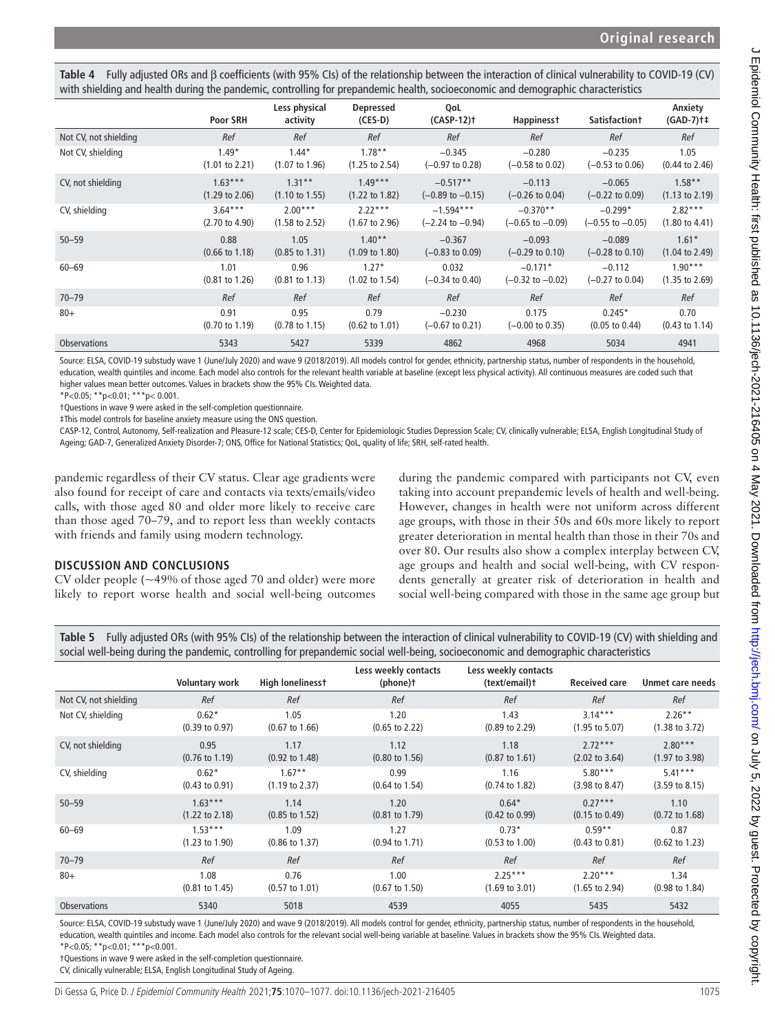<span id="page-5-0"></span>**Table 4** Fully adjusted ORs and β coefficients (with 95% CIs) of the relationship between the interaction of clinical vulnerability to COVID-19 (CV) with shielding and health during the pandemic, controlling for prepandemic health, socioeconomic and demographic characteristics

|                       | Poor SRH                  | Less physical<br>activity | <b>Depressed</b><br>$(CES-D)$ | QoL<br>$(CASP-12)$ †        | Happiness†                  | <b>Satisfactiont</b>       | Anxiety<br>$(GAD-7)$ <sup>+</sup> |
|-----------------------|---------------------------|---------------------------|-------------------------------|-----------------------------|-----------------------------|----------------------------|-----------------------------------|
| Not CV, not shielding | Ref                       | Ref                       | Ref                           | Ref                         | Ref                         | Ref                        | Ref                               |
| Not CV, shielding     | $1.49*$                   | $1.44*$                   | $1.78**$                      | $-0.345$                    | $-0.280$                    | $-0.235$                   | 1.05                              |
|                       | $(1.01 \text{ to } 2.21)$ | $(1.07 \text{ to } 1.96)$ | $(1.25 \text{ to } 2.54)$     | $(-0.97 \text{ to } 0.28)$  | $(-0.58 \text{ to } 0.02)$  | $(-0.53 \text{ to } 0.06)$ | $(0.44 \text{ to } 2.46)$         |
| CV, not shielding     | $1.63***$                 | $1.31***$                 | $1.49***$                     | $-0.517**$                  | $-0.113$                    | $-0.065$                   | $1.58***$                         |
|                       | $(1.29 \text{ to } 2.06)$ | $(1.10 \text{ to } 1.55)$ | $(1.22 \text{ to } 1.82)$     | $(-0.89 \text{ to } -0.15)$ | $(-0.26 \text{ to } 0.04)$  | $(-0.22 \text{ to } 0.09)$ | $(1.13 \text{ to } 2.19)$         |
| CV, shielding         | $3.64***$                 | $2.00***$                 | $2.22***$                     | $-1.594***$                 | $-0.370**$                  | $-0.299*$                  | $2.82***$                         |
|                       | $(2.70 \text{ to } 4.90)$ | $(1.58 \text{ to } 2.52)$ | $(1.67 \text{ to } 2.96)$     | $(-2.24 \text{ to } -0.94)$ | $(-0.65 \text{ to } -0.09)$ | $(-0.55$ to $-0.05)$       | $(1.80 \text{ to } 4.41)$         |
| $50 - 59$             | 0.88                      | 1.05                      | $1.40**$                      | $-0.367$                    | $-0.093$                    | $-0.089$                   | $1.61*$                           |
|                       | $(0.66 \text{ to } 1.18)$ | $(0.85 \text{ to } 1.31)$ | $(1.09 \text{ to } 1.80)$     | $(-0.83 \text{ to } 0.09)$  | $(-0.29 \text{ to } 0.10)$  | $(-0.28 \text{ to } 0.10)$ | $(1.04 \text{ to } 2.49)$         |
| $60 - 69$             | 1.01                      | 0.96                      | $1.27*$                       | 0.032                       | $-0.171*$                   | $-0.112$                   | $1.90***$                         |
|                       | $(0.81 \text{ to } 1.26)$ | $(0.81 \text{ to } 1.13)$ | $(1.02 \text{ to } 1.54)$     | $(-0.34 \text{ to } 0.40)$  | $(-0.32 \text{ to } -0.02)$ | $(-0.27 \text{ to } 0.04)$ | $(1.35 \text{ to } 2.69)$         |
| $70 - 79$             | Ref                       | Ref                       | Ref                           | Ref                         | Ref                         | Ref                        | Ref                               |
| $80+$                 | 0.91                      | 0.95                      | 0.79                          | $-0.230$                    | 0.175                       | $0.245*$                   | 0.70                              |
|                       | $(0.70 \text{ to } 1.19)$ | $(0.78 \text{ to } 1.15)$ | $(0.62 \text{ to } 1.01)$     | $(-0.67 \text{ to } 0.21)$  | $(-0.00 \text{ to } 0.35)$  | $(0.05 \text{ to } 0.44)$  | $(0.43 \text{ to } 1.14)$         |
| <b>Observations</b>   | 5343                      | 5427                      | 5339                          | 4862                        | 4968                        | 5034                       | 4941                              |

Source: ELSA, COVID-19 substudy wave 1 (June/July 2020) and wave 9 (2018/2019). All models control for gender, ethnicity, partnership status, number of respondents in the household, education, wealth quintiles and income. Each model also controls for the relevant health variable at baseline (except less physical activity). All continuous measures are coded such that higher values mean better outcomes. Values in brackets show the 95% CIs. Weighted data.

\*P<0.05; \*\*p<0.01; \*\*\*p< 0.001.

†Questions in wave 9 were asked in the self-completion questionnaire.

‡This model controls for baseline anxiety measure using the ONS question.

CASP-12, Control, Autonomy, Self-realization and Pleasure-12 scale; CES-D, Center for Epidemiologic Studies Depression Scale; CV, clinically vulnerable; ELSA, English Longitudinal Study of Ageing; GAD-7, Generalized Anxiety Disorder-7; ONS, Office for National Statistics; QoL, quality of life; SRH, self-rated health.

pandemic regardless of their CV status. Clear age gradients were also found for receipt of care and contacts via texts/emails/video calls, with those aged 80 and older more likely to receive care than those aged 70–79, and to report less than weekly contacts with friends and family using modern technology.

#### **DISCUSSION AND CONCLUSIONS**

CV older people (~49% of those aged 70 and older) were more likely to report worse health and social well-being outcomes

during the pandemic compared with participants not CV, even taking into account prepandemic levels of health and well-being. However, changes in health were not uniform across different age groups, with those in their 50s and 60s more likely to report greater deterioration in mental health than those in their 70s and over 80. Our results also show a complex interplay between CV, age groups and health and social well-being, with CV respondents generally at greater risk of deterioration in health and social well-being compared with those in the same age group but

<span id="page-5-1"></span>**Table 5** Fully adjusted ORs (with 95% CIs) of the relationship between the interaction of clinical vulnerability to COVID-19 (CV) with shielding and social well-being during the pandemic, controlling for prepandemic social well-being, socioeconomic and demographic characteristics

|                       | <b>Voluntary work</b>     | High lonelinesst          | Less weekly contacts<br>(phone)t | Less weekly contacts<br>(text/email)t | <b>Received care</b>      | Unmet care needs          |
|-----------------------|---------------------------|---------------------------|----------------------------------|---------------------------------------|---------------------------|---------------------------|
| Not CV, not shielding | Ref                       | Ref                       | Ref                              | Ref                                   | Ref                       | Ref                       |
| Not CV, shielding     | $0.62*$                   | 1.05                      | 1.20                             | 1.43                                  | $3.14***$                 | $2.26***$                 |
|                       | $(0.39 \text{ to } 0.97)$ | $(0.67 \text{ to } 1.66)$ | $(0.65 \text{ to } 2.22)$        | $(0.89 \text{ to } 2.29)$             | $(1.95 \text{ to } 5.07)$ | $(1.38 \text{ to } 3.72)$ |
| CV, not shielding     | 0.95                      | 1.17                      | 1.12                             | 1.18                                  | $2.72***$                 | $2.80***$                 |
|                       | $(0.76 \text{ to } 1.19)$ | $(0.92 \text{ to } 1.48)$ | $(0.80 \text{ to } 1.56)$        | $(0.87 \text{ to } 1.61)$             | $(2.02 \text{ to } 3.64)$ | $(1.97 \text{ to } 3.98)$ |
| CV, shielding         | $0.62*$                   | $1.67**$                  | 0.99                             | 1.16                                  | $5.80***$                 | $5.41***$                 |
|                       | $(0.43 \text{ to } 0.91)$ | $(1.19 \text{ to } 2.37)$ | $(0.64 \text{ to } 1.54)$        | $(0.74 \text{ to } 1.82)$             | $(3.98 \text{ to } 8.47)$ | $(3.59 \text{ to } 8.15)$ |
| $50 - 59$             | $1.63***$                 | 1.14                      | 1.20                             | $0.64*$                               | $0.27***$                 | 1.10                      |
|                       | $(1.22 \text{ to } 2.18)$ | $(0.85 \text{ to } 1.52)$ | $(0.81 \text{ to } 1.79)$        | $(0.42 \text{ to } 0.99)$             | $(0.15 \text{ to } 0.49)$ | $(0.72 \text{ to } 1.68)$ |
| $60 - 69$             | $1.53***$                 | 1.09                      | 1.27                             | $0.73*$                               | $0.59**$                  | 0.87                      |
|                       | $(1.23 \text{ to } 1.90)$ | $(0.86 \text{ to } 1.37)$ | $(0.94 \text{ to } 1.71)$        | $(0.53 \text{ to } 1.00)$             | $(0.43 \text{ to } 0.81)$ | $(0.62 \text{ to } 1.23)$ |
| $70 - 79$             | Ref                       | Ref                       | Ref                              | Ref                                   | Ref                       | Ref                       |
| $80+$                 | 1.08                      | 0.76                      | 1.00                             | $2.25***$                             | $2.20***$                 | 1.34                      |
|                       | $(0.81 \text{ to } 1.45)$ | $(0.57 \text{ to } 1.01)$ | $(0.67 \text{ to } 1.50)$        | $(1.69 \text{ to } 3.01)$             | $(1.65 \text{ to } 2.94)$ | $(0.98 \text{ to } 1.84)$ |
| <b>Observations</b>   | 5340                      | 5018                      | 4539                             | 4055                                  | 5435                      | 5432                      |

Source: ELSA, COVID-19 substudy wave 1 (June/July 2020) and wave 9 (2018/2019). All models control for gender, ethnicity, partnership status, number of respondents in the household, education, wealth quintiles and income. Each model also controls for the relevant social well-being variable at baseline. Values in brackets show the 95% CIs. Weighted data. \*P<0.05; \*\*p<0.01; \*\*\*p<0.001.

†Questions in wave 9 were asked in the self-completion questionnaire.

CV, clinically vulnerable; ELSA, English Longitudinal Study of Ageing.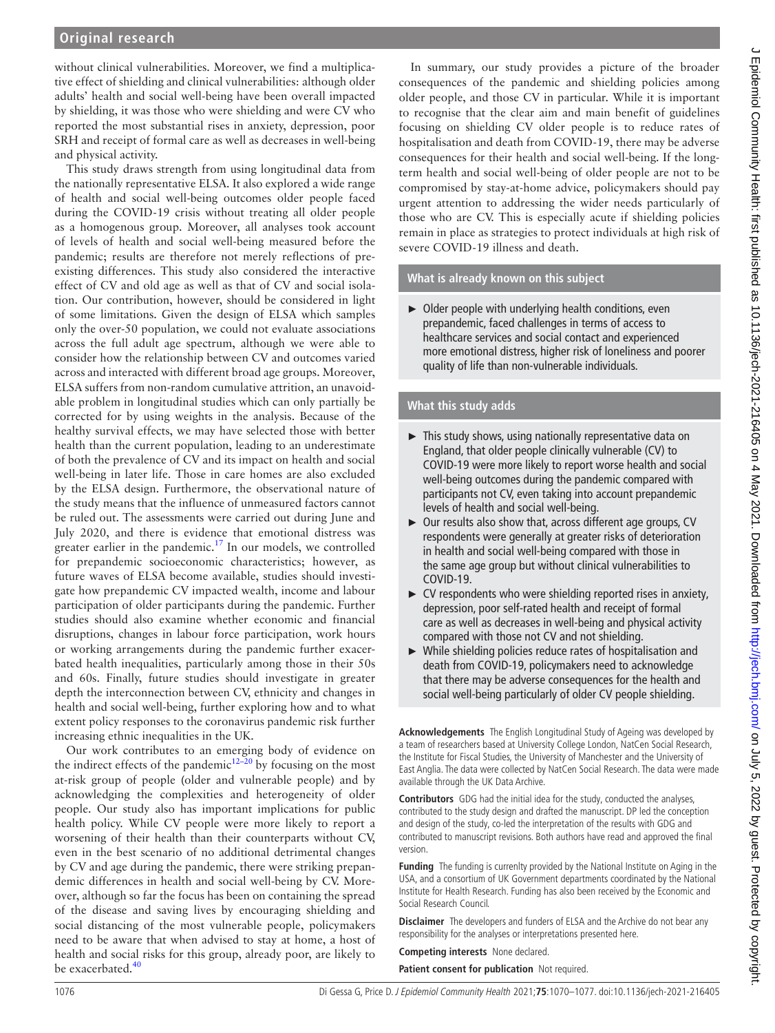# **Original research**

without clinical vulnerabilities. Moreover, we find a multiplicative effect of shielding and clinical vulnerabilities: although older adults' health and social well-being have been overall impacted by shielding, it was those who were shielding and were CV who reported the most substantial rises in anxiety, depression, poor SRH and receipt of formal care as well as decreases in well-being and physical activity.

This study draws strength from using longitudinal data from the nationally representative ELSA. It also explored a wide range of health and social well-being outcomes older people faced during the COVID-19 crisis without treating all older people as a homogenous group. Moreover, all analyses took account of levels of health and social well-being measured before the pandemic; results are therefore not merely reflections of preexisting differences. This study also considered the interactive effect of CV and old age as well as that of CV and social isolation. Our contribution, however, should be considered in light of some limitations. Given the design of ELSA which samples only the over-50 population, we could not evaluate associations across the full adult age spectrum, although we were able to consider how the relationship between CV and outcomes varied across and interacted with different broad age groups. Moreover, ELSA suffers from non-random cumulative attrition, an unavoidable problem in longitudinal studies which can only partially be corrected for by using weights in the analysis. Because of the healthy survival effects, we may have selected those with better health than the current population, leading to an underestimate of both the prevalence of CV and its impact on health and social well-being in later life. Those in care homes are also excluded by the ELSA design. Furthermore, the observational nature of the study means that the influence of unmeasured factors cannot be ruled out. The assessments were carried out during June and July 2020, and there is evidence that emotional distress was greater earlier in the pandemic.<sup>17</sup> In our models, we controlled for prepandemic socioeconomic characteristics; however, as future waves of ELSA become available, studies should investigate how prepandemic CV impacted wealth, income and labour participation of older participants during the pandemic. Further studies should also examine whether economic and financial disruptions, changes in labour force participation, work hours or working arrangements during the pandemic further exacerbated health inequalities, particularly among those in their 50s and 60s. Finally, future studies should investigate in greater depth the interconnection between CV, ethnicity and changes in health and social well-being, further exploring how and to what extent policy responses to the coronavirus pandemic risk further increasing ethnic inequalities in the UK.

Our work contributes to an emerging body of evidence on the indirect effects of the pandemic<sup>[12–20](#page-7-4)</sup> by focusing on the most at-risk group of people (older and vulnerable people) and by acknowledging the complexities and heterogeneity of older people. Our study also has important implications for public health policy. While CV people were more likely to report a worsening of their health than their counterparts without CV, even in the best scenario of no additional detrimental changes by CV and age during the pandemic, there were striking prepandemic differences in health and social well-being by CV. Moreover, although so far the focus has been on containing the spread of the disease and saving lives by encouraging shielding and social distancing of the most vulnerable people, policymakers need to be aware that when advised to stay at home, a host of health and social risks for this group, already poor, are likely to be exacerbated.<sup>[40](#page-7-19)</sup>

In summary, our study provides a picture of the broader consequences of the pandemic and shielding policies among older people, and those CV in particular. While it is important to recognise that the clear aim and main benefit of guidelines focusing on shielding CV older people is to reduce rates of hospitalisation and death from COVID-19, there may be adverse consequences for their health and social well-being. If the longterm health and social well-being of older people are not to be compromised by stay-at-home advice, policymakers should pay urgent attention to addressing the wider needs particularly of those who are CV. This is especially acute if shielding policies remain in place as strategies to protect individuals at high risk of severe COVID-19 illness and death.

#### **What is already known on this subject**

► Older people with underlying health conditions, even prepandemic, faced challenges in terms of access to healthcare services and social contact and experienced more emotional distress, higher risk of loneliness and poorer quality of life than non-vulnerable individuals.

### **What this study adds**

- ► This study shows, using nationally representative data on England, that older people clinically vulnerable (CV) to COVID-19 were more likely to report worse health and social well-being outcomes during the pandemic compared with participants not CV, even taking into account prepandemic levels of health and social well-being.
- ► Our results also show that, across different age groups, CV respondents were generally at greater risks of deterioration in health and social well-being compared with those in the same age group but without clinical vulnerabilities to COVID-19.
- ► CV respondents who were shielding reported rises in anxiety, depression, poor self-rated health and receipt of formal care as well as decreases in well-being and physical activity compared with those not CV and not shielding.
- ► While shielding policies reduce rates of hospitalisation and death from COVID-19, policymakers need to acknowledge that there may be adverse consequences for the health and social well-being particularly of older CV people shielding.

**Acknowledgements** The English Longitudinal Study of Ageing was developed by a team of researchers based at University College London, NatCen Social Research, the Institute for Fiscal Studies, the University of Manchester and the University of East Anglia. The data were collected by NatCen Social Research. The data were made available through the UK Data Archive.

**Contributors** GDG had the initial idea for the study, conducted the analyses, contributed to the study design and drafted the manuscript. DP led the conception and design of the study, co-led the interpretation of the results with GDG and contributed to manuscript revisions. Both authors have read and approved the final version.

**Funding** The funding is currenlty provided by the National Institute on Aging in the USA, and a consortium of UK Government departments coordinated by the National Institute for Health Research. Funding has also been received by the Economic and Social Research Council.

**Disclaimer** The developers and funders of ELSA and the Archive do not bear any responsibility for the analyses or interpretations presented here.

**Competing interests** None declared.

**Patient consent for publication** Not required.